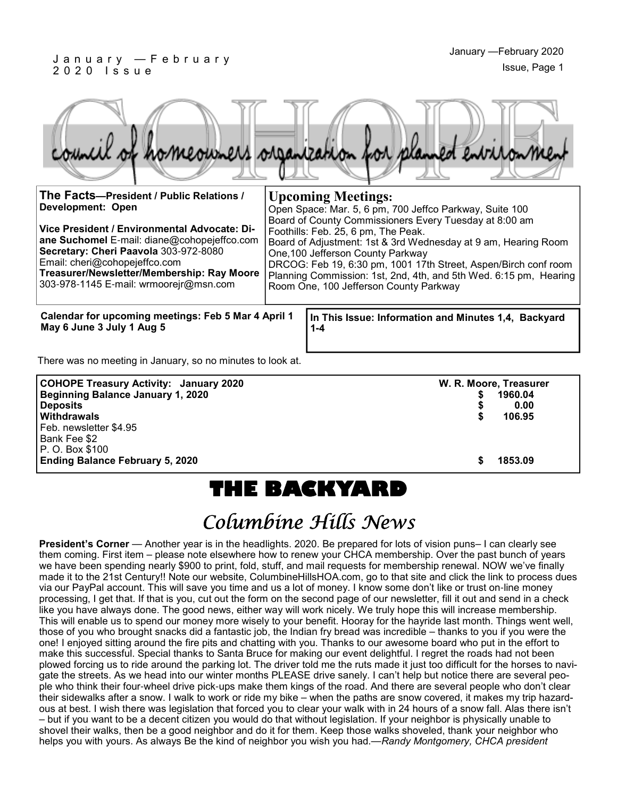#### J a n u a r y — F e b r u a r y 2 0 2 0 I s s u e

|  |  |  | council of homeowners organization for planned environment |
|--|--|--|------------------------------------------------------------|
|  |  |  |                                                            |

| The Facts-President / Public Relations /<br><b>Development: Open</b><br>Vice President / Environmental Advocate: Di-<br>ane Suchomel E-mail: diane@cohopejeffco.com<br>Secretary: Cheri Paavola 303-972-8080<br>Email: cheri@cohopejeffco.com<br>Treasurer/Newsletter/Membership: Ray Moore<br>303-978-1145 E-mail: wrmoorejr@msn.com | <b>Upcoming Meetings:</b><br>Open Space: Mar. 5, 6 pm, 700 Jeffco Parkway, Suite 100<br>Board of County Commissioners Every Tuesday at 8:00 am<br>Foothills: Feb. 25, 6 pm, The Peak.<br>Board of Adjustment: 1st & 3rd Wednesday at 9 am, Hearing Room<br>One, 100 Jefferson County Parkway<br>DRCOG: Feb 19, 6:30 pm, 1001 17th Street, Aspen/Birch conf room<br>Planning Commission: 1st, 2nd, 4th, and 5th Wed. 6:15 pm, Hearing<br>Room One, 100 Jefferson County Parkway |
|---------------------------------------------------------------------------------------------------------------------------------------------------------------------------------------------------------------------------------------------------------------------------------------------------------------------------------------|--------------------------------------------------------------------------------------------------------------------------------------------------------------------------------------------------------------------------------------------------------------------------------------------------------------------------------------------------------------------------------------------------------------------------------------------------------------------------------|
| Calendar for upcoming meetings: Feb 5 Mar 4 April 1<br>May 6 June 3 July 1 Aug 5                                                                                                                                                                                                                                                      | In This Issue: Information and Minutes 1,4, Backyard<br>1-4                                                                                                                                                                                                                                                                                                                                                                                                                    |

There was no meeting in January, so no minutes to look at.

| <b>COHOPE Treasury Activity: January 2020</b> |   | W. R. Moore, Treasurer |
|-----------------------------------------------|---|------------------------|
| <b>Beginning Balance January 1, 2020</b>      | S | 1960.04                |
| <b>Deposits</b>                               |   | 0.00                   |
| Withdrawals                                   | S | 106.95                 |
| Feb. newsletter \$4.95                        |   |                        |
| Bank Fee \$2                                  |   |                        |
| P. O. Box \$100                               |   |                        |
| <b>Ending Balance February 5, 2020</b>        | S | 1853.09                |

# **THE BACKYARD**

# Columbine Hills News

**President's Corner** — Another year is in the headlights. 2020. Be prepared for lots of vision puns– I can clearly see them coming. First item – please note elsewhere how to renew your CHCA membership. Over the past bunch of years we have been spending nearly \$900 to print, fold, stuff, and mail requests for membership renewal. NOW we've finally made it to the 21st Century!! Note our website, ColumbineHillsHOA.com, go to that site and click the link to process dues via our PayPal account. This will save you time and us a lot of money. I know some don't like or trust on-line money processing, I get that. If that is you, cut out the form on the second page of our newsletter, fill it out and send in a check like you have always done. The good news, either way will work nicely. We truly hope this will increase membership. This will enable us to spend our money more wisely to your benefit. Hooray for the hayride last month. Things went well, those of you who brought snacks did a fantastic job, the Indian fry bread was incredible – thanks to you if you were the one! I enjoyed sitting around the fire pits and chatting with you. Thanks to our awesome board who put in the effort to make this successful. Special thanks to Santa Bruce for making our event delightful. I regret the roads had not been plowed forcing us to ride around the parking lot. The driver told me the ruts made it just too difficult for the horses to navigate the streets. As we head into our winter months PLEASE drive sanely. I can't help but notice there are several people who think their four-wheel drive pick-ups make them kings of the road. And there are several people who don't clear their sidewalks after a snow. I walk to work or ride my bike – when the paths are snow covered, it makes my trip hazardous at best. I wish there was legislation that forced you to clear your walk with in 24 hours of a snow fall. Alas there isn't – but if you want to be a decent citizen you would do that without legislation. If your neighbor is physically unable to shovel their walks, then be a good neighbor and do it for them. Keep those walks shoveled, thank your neighbor who helps you with yours. As always Be the kind of neighbor you wish you had.—*Randy Montgomery, CHCA president*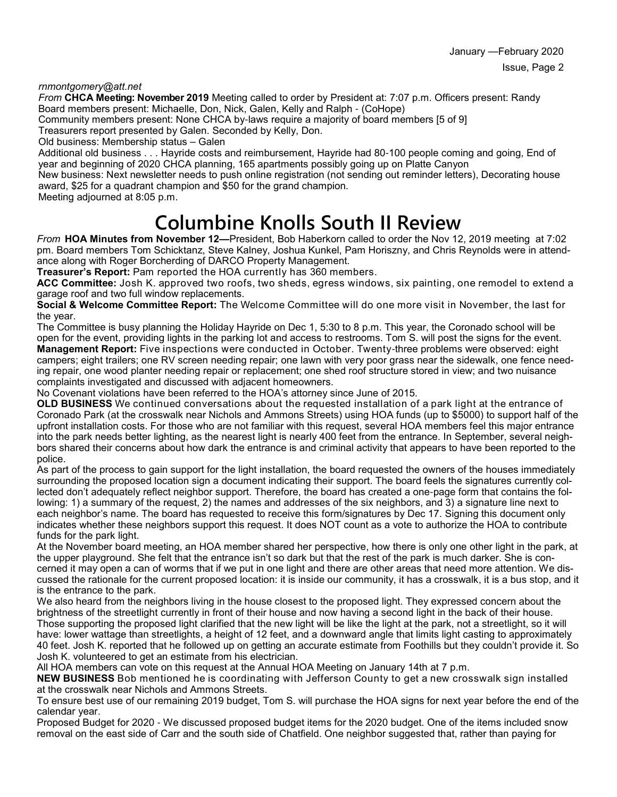January —February 2020 Issue, Page 2

*rnmontgomery@att.net*

*From* **CHCA Meeting: November 2019** Meeting called to order by President at: 7:07 p.m. Officers present: Randy Board members present: Michaelle, Don, Nick, Galen, Kelly and Ralph - (CoHope)

Community members present: None CHCA by-laws require a majority of board members [5 of 9]

Treasurers report presented by Galen. Seconded by Kelly, Don.

Old business: Membership status – Galen

Additional old business . . . Hayride costs and reimbursement, Hayride had 80-100 people coming and going, End of year and beginning of 2020 CHCA planning, 165 apartments possibly going up on Platte Canyon

New business: Next newsletter needs to push online registration (not sending out reminder letters), Decorating house award, \$25 for a quadrant champion and \$50 for the grand champion.

Meeting adjourned at 8:05 p.m.

## **Columbine Knolls South II Review**

*From* **HOA Minutes from November 12—**President, Bob Haberkorn called to order the Nov 12, 2019 meeting at 7:02 pm. Board members Tom Schicktanz, Steve Kalney, Joshua Kunkel, Pam Horiszny, and Chris Reynolds were in attendance along with Roger Borcherding of DARCO Property Management.

**Treasurer's Report:** Pam reported the HOA currently has 360 members.

**ACC Committee:** Josh K. approved two roofs, two sheds, egress windows, six painting, one remodel to extend a garage roof and two full window replacements.

**Social & Welcome Committee Report:** The Welcome Committee will do one more visit in November, the last for the year.

The Committee is busy planning the Holiday Hayride on Dec 1, 5:30 to 8 p.m. This year, the Coronado school will be open for the event, providing lights in the parking lot and access to restrooms. Tom S. will post the signs for the event.

**Management Report:** Five inspections were conducted in October. Twenty-three problems were observed: eight campers; eight trailers; one RV screen needing repair; one lawn with very poor grass near the sidewalk, one fence needing repair, one wood planter needing repair or replacement; one shed roof structure stored in view; and two nuisance complaints investigated and discussed with adjacent homeowners.

No Covenant violations have been referred to the HOA's attorney since June of 2015.

**OLD BUSINESS** We continued conversations about the requested installation of a park light at the entrance of Coronado Park (at the crosswalk near Nichols and Ammons Streets) using HOA funds (up to \$5000) to support half of the upfront installation costs. For those who are not familiar with this request, several HOA members feel this major entrance into the park needs better lighting, as the nearest light is nearly 400 feet from the entrance. In September, several neighbors shared their concerns about how dark the entrance is and criminal activity that appears to have been reported to the police.

As part of the process to gain support for the light installation, the board requested the owners of the houses immediately surrounding the proposed location sign a document indicating their support. The board feels the signatures currently collected don't adequately reflect neighbor support. Therefore, the board has created a one-page form that contains the following: 1) a summary of the request, 2) the names and addresses of the six neighbors, and 3) a signature line next to each neighbor's name. The board has requested to receive this form/signatures by Dec 17. Signing this document only indicates whether these neighbors support this request. It does NOT count as a vote to authorize the HOA to contribute funds for the park light.

At the November board meeting, an HOA member shared her perspective, how there is only one other light in the park, at the upper playground. She felt that the entrance isn't so dark but that the rest of the park is much darker. She is concerned it may open a can of worms that if we put in one light and there are other areas that need more attention. We discussed the rationale for the current proposed location: it is inside our community, it has a crosswalk, it is a bus stop, and it is the entrance to the park.

We also heard from the neighbors living in the house closest to the proposed light. They expressed concern about the brightness of the streetlight currently in front of their house and now having a second light in the back of their house. Those supporting the proposed light clarified that the new light will be like the light at the park, not a streetlight, so it will have: lower wattage than streetlights, a height of 12 feet, and a downward angle that limits light casting to approximately 40 feet. Josh K. reported that he followed up on getting an accurate estimate from Foothills but they couldn't provide it. So Josh K. volunteered to get an estimate from his electrician.

All HOA members can vote on this request at the Annual HOA Meeting on January 14th at 7 p.m.

**NEW BUSINESS** Bob mentioned he is coordinating with Jefferson County to get a new crosswalk sign installed at the crosswalk near Nichols and Ammons Streets.

To ensure best use of our remaining 2019 budget, Tom S. will purchase the HOA signs for next year before the end of the calendar year.

Proposed Budget for 2020 - We discussed proposed budget items for the 2020 budget. One of the items included snow removal on the east side of Carr and the south side of Chatfield. One neighbor suggested that, rather than paying for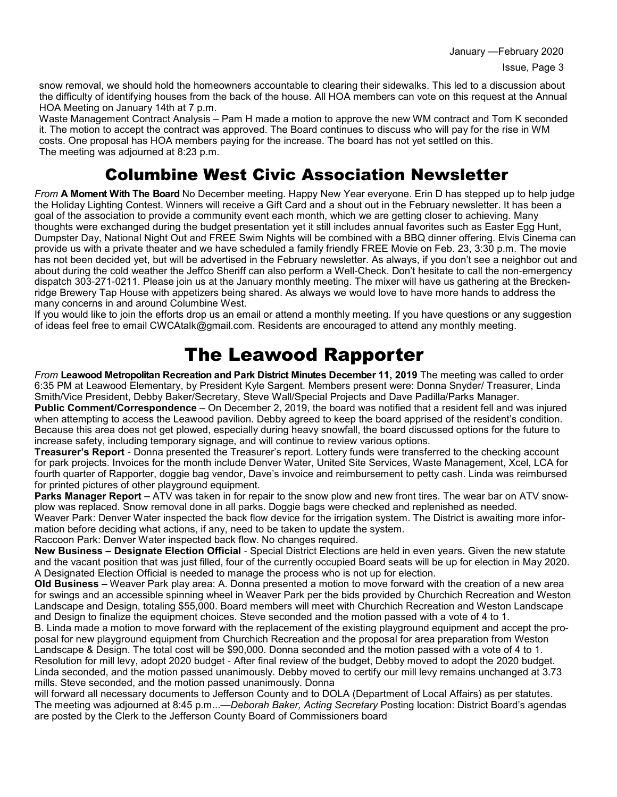January —February 2020

snow removal, we should hold the homeowners accountable to clearing their sidewalks. This led to a discussion about the difficulty of identifying houses from the back of the house. All HOA members can vote on this request at the Annual HOA Meeting on January 14th at 7 p.m.

Waste Management Contract Analysis – Pam H made a motion to approve the new WM contract and Tom K seconded it. The motion to accept the contract was approved. The Board continues to discuss who will pay for the rise in WM costs. One proposal has HOA members paying for the increase. The board has not yet settled on this. The meeting was adjourned at 8:23 p.m.

#### Columbine West Civic Association Newsletter

*From* **A Moment With The Board** No December meeting. Happy New Year everyone. Erin D has stepped up to help judge the Holiday Lighting Contest. Winners will receive a Gift Card and a shout out in the February newsletter. It has been a goal of the association to provide a community event each month, which we are getting closer to achieving. Many thoughts were exchanged during the budget presentation yet it still includes annual favorites such as Easter Egg Hunt, Dumpster Day, National Night Out and FREE Swim Nights will be combined with a BBQ dinner offering. Elvis Cinema can provide us with a private theater and we have scheduled a family friendly FREE Movie on Feb. 23, 3:30 p.m. The movie has not been decided yet, but will be advertised in the February newsletter. As always, if you don't see a neighbor out and about during the cold weather the Jeffco Sheriff can also perform a Well-Check. Don't hesitate to call the non-emergency dispatch 303-271-0211. Please join us at the January monthly meeting. The mixer will have us gathering at the Breckenridge Brewery Tap House with appetizers being shared. As always we would love to have more hands to address the many concerns in and around Columbine West.

If you would like to join the efforts drop us an email or attend a monthly meeting. If you have questions or any suggestion of ideas feel free to email CWCAtalk@gmail.com. Residents are encouraged to attend any monthly meeting.

### The Leawood Rapporter

*From* **Leawood Metropolitan Recreation and Park District Minutes December 11, 2019** The meeting was called to order 6:35 PM at Leawood Elementary, by President Kyle Sargent. Members present were: Donna Snyder/ Treasurer, Linda Smith/Vice President, Debby Baker/Secretary, Steve Wall/Special Projects and Dave Padilla/Parks Manager. **Public Comment/Correspondence** – On December 2, 2019, the board was notified that a resident fell and was injured when attempting to access the Leawood pavilion. Debby agreed to keep the board apprised of the resident's condition. Because this area does not get plowed, especially during heavy snowfall, the board discussed options for the future to increase safety, including temporary signage, and will continue to review various options.

**Treasurer's Report** - Donna presented the Treasurer's report. Lottery funds were transferred to the checking account for park projects. Invoices for the month include Denver Water, United Site Services, Waste Management, Xcel, LCA for fourth quarter of Rapporter, doggie bag vendor, Dave's invoice and reimbursement to petty cash. Linda was reimbursed for printed pictures of other playground equipment.

**Parks Manager Report** – ATV was taken in for repair to the snow plow and new front tires. The wear bar on ATV snowplow was replaced. Snow removal done in all parks. Doggie bags were checked and replenished as needed.

Weaver Park: Denver Water inspected the back flow device for the irrigation system. The District is awaiting more information before deciding what actions, if any, need to be taken to update the system.

Raccoon Park: Denver Water inspected back flow. No changes required.

**New Business – Designate Election Official** - Special District Elections are held in even years. Given the new statute and the vacant position that was just filled, four of the currently occupied Board seats will be up for election in May 2020. A Designated Election Official is needed to manage the process who is not up for election.

**Old Business –** Weaver Park play area: A. Donna presented a motion to move forward with the creation of a new area for swings and an accessible spinning wheel in Weaver Park per the bids provided by Churchich Recreation and Weston Landscape and Design, totaling \$55,000. Board members will meet with Churchich Recreation and Weston Landscape and Design to finalize the equipment choices. Steve seconded and the motion passed with a vote of 4 to 1.

B. Linda made a motion to move forward with the replacement of the existing playground equipment and accept the proposal for new playground equipment from Churchich Recreation and the proposal for area preparation from Weston Landscape & Design. The total cost will be \$90,000. Donna seconded and the motion passed with a vote of 4 to 1. Resolution for mill levy, adopt 2020 budget - After final review of the budget, Debby moved to adopt the 2020 budget. Linda seconded, and the motion passed unanimously. Debby moved to certify our mill levy remains unchanged at 3.73 mills. Steve seconded, and the motion passed unanimously. Donna

will forward all necessary documents to Jefferson County and to DOLA (Department of Local Affairs) as per statutes. The meeting was adjourned at 8:45 p.m...—*Deborah Baker, Acting Secretary* Posting location: District Board's agendas are posted by the Clerk to the Jefferson County Board of Commissioners board